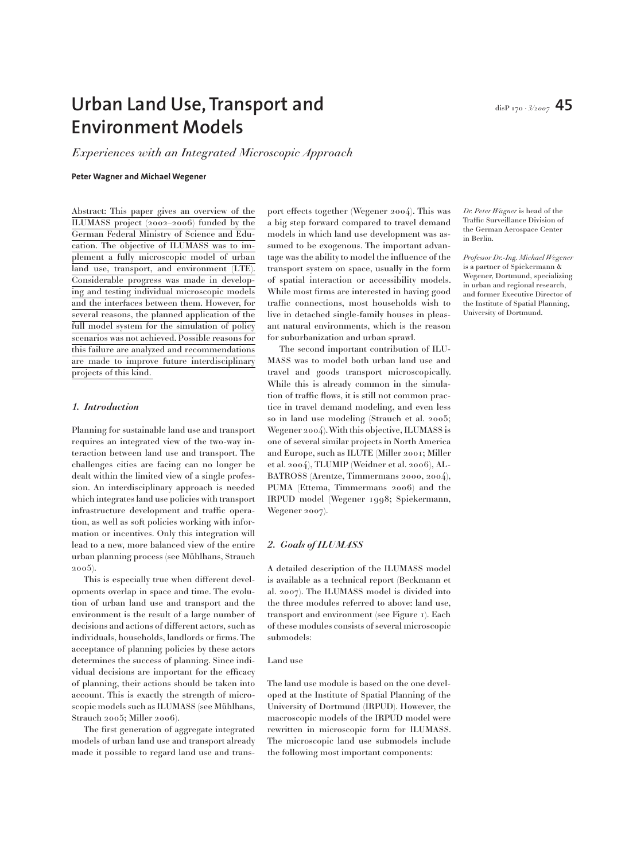# **Urban Land Use, Transport and** disP 170 *· 3/2007* **45 Environment Models**

*Experiences with an Integrated Microscopic Approach*

#### **Peter Wagner and Michael Wegener**

Abstract: This paper gives an overview of the ILUMASS project (2002–2006) funded by the German Federal Ministry of Science and Education. The objective of ILUMASS was to implement a fully microscopic model of urban land use, transport, and environment (LTE). Considerable progress was made in developing and testing individual microscopic models and the interfaces between them. However, for several reasons, the planned application of the full model system for the simulation of policy scenarios was not achieved. Possible reasons for this failure are analyzed and recommendations are made to improve future interdisciplinary projects of this kind.

# *1. Introduction*

Planning for sustainable land use and transport requires an integrated view of the two-way interaction between land use and transport. The challenges cities are facing can no longer be dealt within the limited view of a single profession. An interdisciplinary approach is needed which integrates land use policies with transport infrastructure development and traffic operation, as well as soft policies working with information or incentives. Only this integration will lead to a new, more balanced view of the entire urban planning process (see Mühlhans, Strauch 2005).

This is especially true when different developments overlap in space and time. The evolution of urban land use and transport and the environment is the result of a large number of decisions and actions of different actors, such as individuals, households, landlords or firms. The acceptance of planning policies by these actors determines the success of planning. Since individual decisions are important for the efficacy of planning, their actions should be taken into account. This is exactly the strength of microscopic models such as ILUMASS (see Mühlhans, Strauch 2005; Miller 2006).

The first generation of aggregate integrated models of urban land use and transport already made it possible to regard land use and transport effects together (Wegener 2004). This was a big step forward compared to travel demand models in which land use development was assumed to be exogenous. The important advantage was the ability to model the influence of the transport system on space, usually in the form of spatial interaction or accessibility models. While most firms are interested in having good traffic connections, most households wish to live in detached single-family houses in pleasant natural environments, which is the reason for suburbanization and urban sprawl.

The second important contribution of ILU-MASS was to model both urban land use and travel and goods transport microscopically. While this is already common in the simulation of traffic flows, it is still not common practice in travel demand modeling, and even less so in land use modeling (Strauch et al. 2005; Wegener 2004). With this objective, ILUMASS is one of several similar projects in North America and Europe, such as ILUTE (Miller 2001; Miller et al. 2004), TLUMIP (Weidner et al. 2006), AL-BATROSS (Arentze, Timmermans 2000, 2004), PUMA (Ettema, Timmermans 2006) and the IRPUD model (Wegener 1998; Spiekermann, Wegener 2007).

### *2. Goals of ILUMASS*

A detailed description of the ILUMASS model is available as a technical report (Beckmann et al. 2007). The ILUMASS model is divided into the three modules referred to above: land use, transport and environment (see Figure 1). Each of these modules consists of several microscopic submodels:

## Land use

The land use module is based on the one developed at the Institute of Spatial Planning of the University of Dortmund (IRPUD). However, the macroscopic models of the IRPUD model were rewritten in microscopic form for ILUMASS. The microscopic land use submodels include the following most important components:

*Dr. Peter Wagner* is head of the Traffic Surveillance Division of the German Aerospace Center in Berlin.

*Professor Dr.-Ing. Michael Wegener* is a partner of Spiekermann & Wegener, Dortmund, specializing in urban and regional research, and former Executive Director of the Institute of Spatial Planning, University of Dortmund.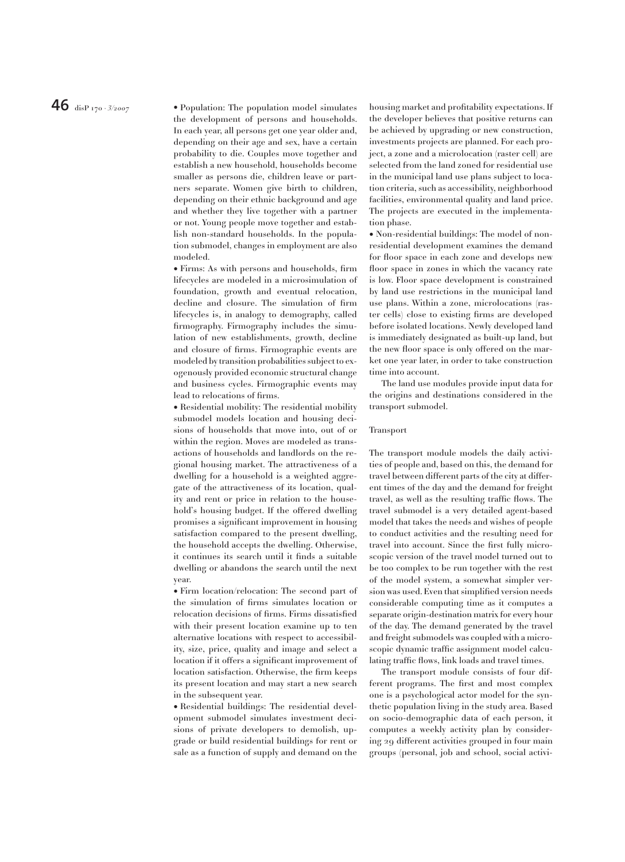**46**disP 170 *· 3/2007* • Population: The population model simulates the development of persons and households. In each year, all persons get one year older and, depending on their age and sex, have a certain probability to die. Couples move together and establish a new household, households become smaller as persons die, children leave or partners separate. Women give birth to children, depending on their ethnic background and age and whether they live together with a partner or not. Young people move together and establish non-standard households. In the population submodel, changes in employment are also modeled.

> • Firms: As with persons and households, firm lifecycles are modeled in a microsimulation of foundation, growth and eventual relocation, decline and closure. The simulation of firm life cycles is, in analogy to demography, called firmography. Firmography includes the simulation of new establishments, growth, decline and closure of firms. Firmographic events are modeled by transition probabilities subject to exogenously provided economic structural change and business cycles. Firmographic events may lead to relocations of firms.

> • Residential mobility: The residential mobility submodel models location and housing decisions of households that move into, out of or within the region. Moves are modeled as transactions of households and landlords on the regional housing market. The attractiveness of a dwelling for a household is a weighted aggregate of the attractiveness of its location, quality and rent or price in relation to the household's housing budget. If the offered dwelling promises a significant improvement in housing satisfaction compared to the present dwelling, the household accepts the dwelling. Otherwise, it continues its search until it finds a suitable dwelling or abandons the search until the next year.

> • Firm location/relocation: The second part of the simulation of firms simulates location or relocation decisions of firms. Firms dissatisfied with their present location examine up to ten alternative locations with respect to accessibility, size, price, quality and image and select a location if it offers a significant improvement of location satisfaction. Otherwise, the firm keeps its present location and may start a new search in the subsequent year.

> • Residential buildings: The residential development submodel simulates investment decisions of private developers to demolish, upgrade or build residential buildings for rent or sale as a function of supply and demand on the

housing market and profitability expectations. If the developer believes that positive returns can be achieved by upgrading or new construction, investments projects are planned. For each project, a zone and a microlocation (raster cell) are selected from the land zoned for residential use in the municipal land use plans subject to location criteria, such as accessibility, neighborhood facilities, environmental quality and land price. The projects are executed in the implementation phase.

• Non-residential buildings: The model of nonresidential development examines the demand for floor space in each zone and develops new floor space in zones in which the vacancy rate is low. Floor space development is constrained by land use restrictions in the municipal land use plans. Within a zone, microlocations (raster cells) close to existing firms are developed before isolated locations. Newly developed land is immediately designated as built-up land, but the new floor space is only offered on the market one year later, in order to take construction time into account.

The land use modules provide input data for the origins and destinations considered in the transport submodel.

#### Transport

The transport module models the daily activities of people and, based on this, the demand for travel between different parts of the city at different times of the day and the demand for freight travel, as well as the resulting traffic flows. The travel submodel is a very detailed agent-based model that takes the needs and wishes of people to conduct activities and the resulting need for travel into account. Since the first fully microscopic version of the travel model turned out to be too complex to be run together with the rest of the model system, a somewhat simpler version was used. Even that simplified version needs considerable computing time as it computes a separate origin-destination matrix for every hour of the day. The demand generated by the travel and freight submodels was coupled with a microscopic dynamic traffic assignment model calculating traffic flows, link loads and travel times.

The transport module consists of four different programs. The first and most complex one is a psychological actor model for the synthetic population living in the study area. Based on socio-demographic data of each person, it computes a weekly activity plan by considering 29 different activities grouped in four main groups (personal, job and school, social activi-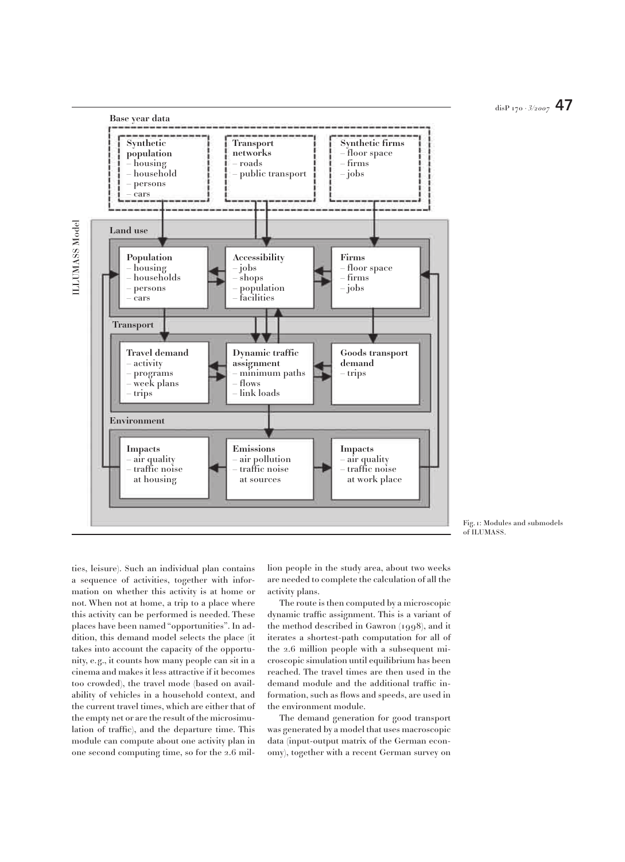

Fig.1: Modules and submodels of ILUMASS.

ties, leisure). Such an individual plan contains a sequence of activities, together with information on whether this activity is at home or not. When not at home, a trip to a place where this activity can be performed is needed. These places have been named "opportunities". In addition, this demand model selects the place (it takes into account the capacity of the opportunity, e. g., it counts how many people can sit in a cinema and makes it less attractive if it becomes too crowded), the travel mode (based on availability of vehicles in a household context, and the current travel times, which are either that of the empty net or are the result of the microsimulation of traffic), and the departure time. This module can compute about one activity plan in one second computing time, so for the 2.6 million people in the study area, about two weeks are needed to complete the calculation of all the activity plans.

The route is then computed by a microscopic dynamic traffic assignment. This is a variant of the method described in Gawron (1998), and it iterates a shortest-path computation for all of the 2.6 million people with a subsequent microscopic simulation until equilibrium has been reached. The travel times are then used in the demand module and the additional traffic information, such as flows and speeds, are used in the environment module.

The demand generation for good transport was generated by a model that uses macroscopic data (input-output matrix of the German economy), together with a recent German survey on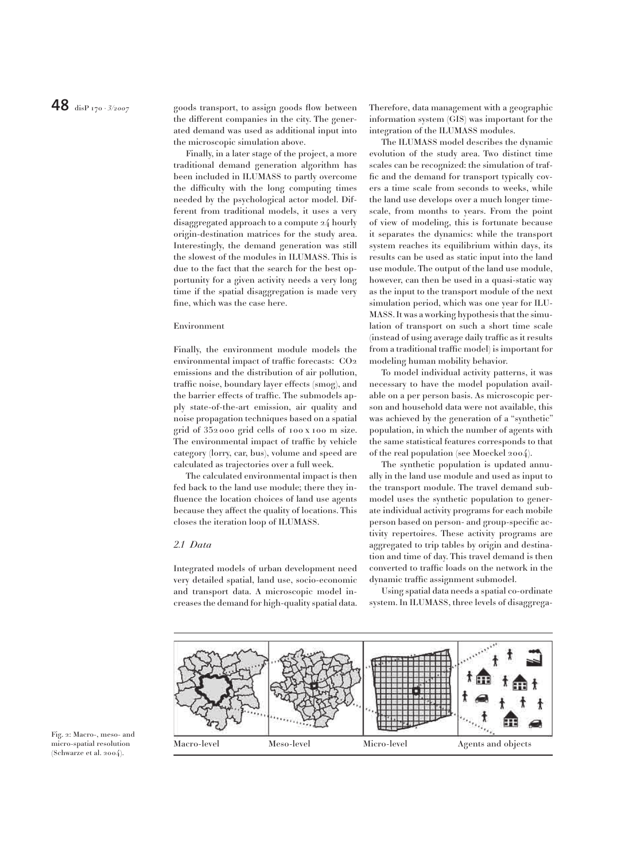48 disP<sub>170</sub> · 3/2007 goods transport, to assign goods flow between the different companies in the city. The generated demand was used as additional input into the microscopic simulation above.

> Finally, in a later stage of the project, a more traditional demand generation algorithm has been included in ILUMASS to partly overcome the difficulty with the long computing times needed by the psychological actor model. Different from traditional models, it uses a very disaggregated approach to a compute 24 hourly origin-destination matrices for the study area. Interestingly, the demand generation was still the slowest of the modules in ILUMASS. This is due to the fact that the search for the best opportunity for a given activity needs a very long time if the spatial disaggregation is made very fine, which was the case here.

#### Environment

Finally, the environment module models the environmental impact of traffic forecasts: CO2 emissions and the distribution of air pollution, traffic noise, boundary layer effects (smog), and the barrier effects of traffic. The submodels apply state-of-the-art emission, air quality and noise propagation techniques based on a spatial grid of 352 000 grid cells of 100 x 100 m size. The environmental impact of traffic by vehicle category (lorry, car, bus), volume and speed are calculated as trajectories over a full week.

The calculated environmental impact is then fed back to the land use module; there they influence the location choices of land use agents because they affect the quality of locations. This closes the iteration loop of ILUMASS.

# *2.1 Data*

Integrated models of urban development need very detailed spatial, land use, socio-economic and transport data. A microscopic model increases the demand for high-quality spatial data. Therefore, data management with a geographic information system (GIS) was important for the integration of the ILUMASS modules.

The ILUMASS model describes the dynamic evolution of the study area. Two distinct time scales can be recognized: the simulation of traffic and the demand for transport typically covers a time scale from seconds to weeks, while the land use develops over a much longer timescale, from months to years. From the point of view of modeling, this is fortunate because it separates the dynamics: while the transport system reaches its equilibrium within days, its results can be used as static input into the land use module. The output of the land use module, however, can then be used in a quasi-static way as the input to the transport module of the next simulation period, which was one year for ILU-MASS. It was a working hypothesis that the simulation of transport on such a short time scale (instead of using average daily traffic as it results from a traditional traffic model) is important for modeling human mobility behavior.

To model individual activity patterns, it was necessary to have the model population available on a per person basis. As microscopic person and household data were not available, this was achieved by the generation of a "synthetic" population, in which the number of agents with the same statistical features corresponds to that of the real population (see Moeckel 2004).

The synthetic population is updated annually in the land use module and used as input to the transport module. The travel demand submodel uses the synthetic population to generate individual activity programs for each mobile person based on person- and group-specific activity repertoires. These activity programs are aggregated to trip tables by origin and destination and time of day. This travel demand is then converted to traffic loads on the network in the dynamic traffic assignment submodel.

Using spatial data needs a spatial co-ordinate system. In ILUMASS, three levels of disaggrega-



Fig. 2: Macro-, meso- and micro-spatial resolution (Schwarze et al. 2004).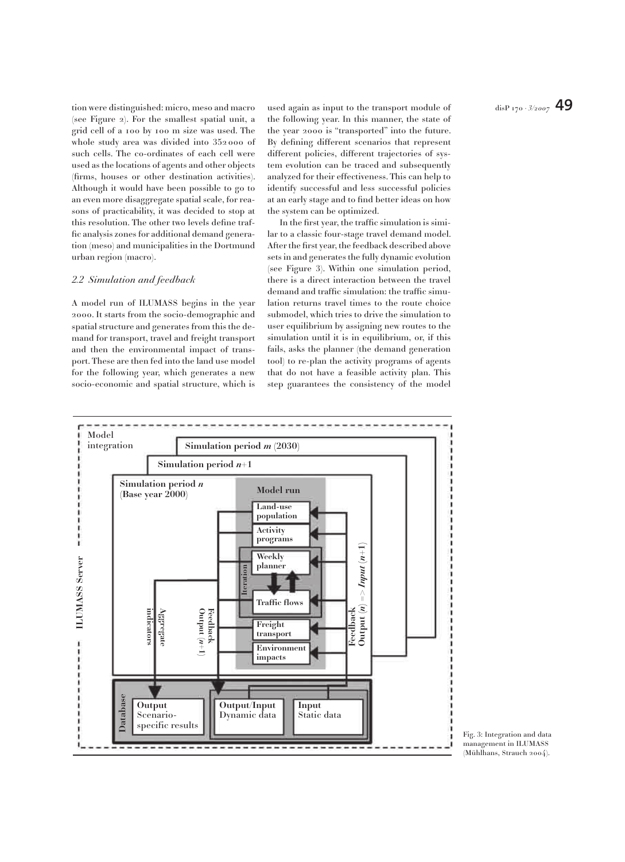tion were distinguished: micro, meso and macro used again as input to the transport module of disP 170 · 3/2*007*  $\overline{49}$ (see Figure 2). For the smallest spatial unit, a grid cell of a 100 by 100 m size was used. The whole study area was divided into 352 000 of such cells. The co-ordinates of each cell were used as the locations of agents and other objects (firms, houses or other destination activities). Although it would have been possible to go to an even more disaggregate spatial scale, for reasons of practicability, it was decided to stop at this resolution. The other two levels define traffic analysis zones for additional demand generation (meso) and municipalities in the Dortmund urban region (macro).

# *2.2 Simulation and feedback*

A model run of ILUMASS begins in the year 2000. It starts from the socio-demographic and spatial structure and generates from this the demand for transport, travel and freight transport and then the environmental impact of transport. These are then fed into the land use model for the following year, which generates a new socio-economic and spatial structure, which is the following year. In this manner, the state of the year 2000 is "transported" into the future. By defining different scenarios that represent different policies, different trajectories of system evolution can be traced and subsequently analyzed for their effectiveness. This can help to identify successful and less successful policies at an early stage and to find better ideas on how the system can be optimized.

In the first year, the traffic simulation is similar to a classic four-stage travel demand model. After the first year, the feedback described above sets in and generates the fully dynamic evolution (see Figure 3). Within one simulation period, there is a direct interaction between the travel demand and traffic simulation: the traffic simulation returns travel times to the route choice submodel, which tries to drive the simulation to user equilibrium by assigning new routes to the simulation until it is in equilibrium, or, if this fails, asks the planner (the demand generation tool) to re-plan the activity programs of agents that do not have a feasible activity plan. This step guarantees the consistency of the model



Fig. 3: Integration and data manage ment in ILUMASS (Mühlhans, Strauch 2004).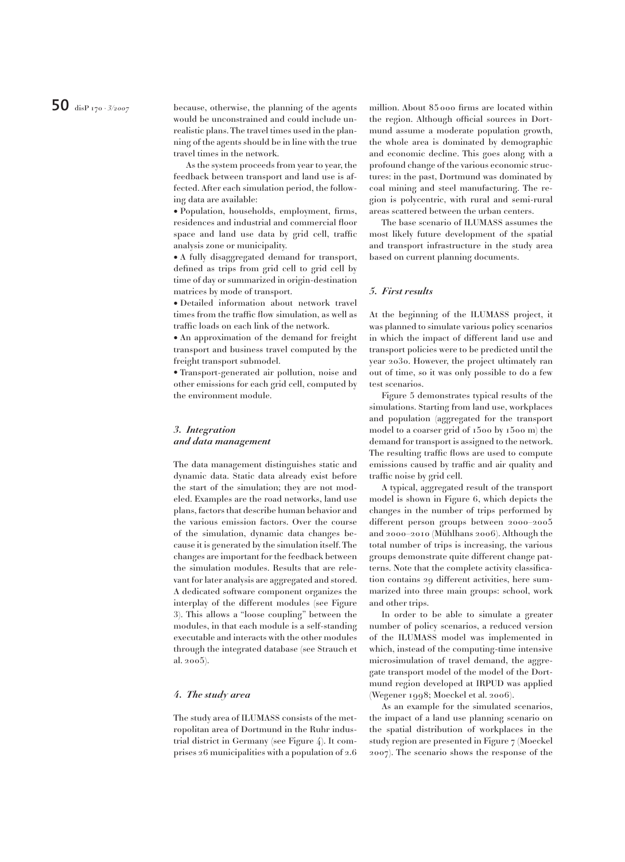**50**disP 170 *· 3/2007* because, otherwise, the planning of the agents would be unconstrained and could include unrealistic plans. The travel times used in the planning of the agents should be in line with the true travel times in the network.

> As the system proceeds from year to year, the feedback between transport and land use is affected. After each simulation period, the following data are available:

> • Population, households, employment, firms, residences and industrial and commercial floor space and land use data by grid cell, traffic analysis zone or municipality.

> • A fully disaggregated demand for transport, defined as trips from grid cell to grid cell by time of day or summarized in origin-destination matrices by mode of transport.

> • Detailed information about network travel times from the traffic flow simulation, as well as traffic loads on each link of the network.

> • An approximation of the demand for freight transport and business travel computed by the freight transport submodel.

> • Transport-generated air pollution, noise and other emissions for each grid cell, computed by the environment module.

# *3. Integration and data management*

The data management distinguishes static and dynamic data. Static data already exist before the start of the simulation; they are not modeled. Examples are the road networks, land use plans, factors that describe human behavior and the various emission factors. Over the course of the simulation, dynamic data changes because it is generated by the simulation itself. The changes are important for the feedback between the simulation modules. Results that are relevant for later analysis are aggregated and stored. A dedicated software component organizes the interplay of the different modules (see Figure 3). This allows a "loose coupling" between the modules, in that each module is a self-standing executable and interacts with the other modules through the integrated database (see Strauch et al. 2005).

# *4. The study area*

The study area of ILUMASS consists of the metropolitan area of Dortmund in the Ruhr industrial district in Germany (see Figure 4). It comprises 26 municipalities with a population of 2.6 million. About 85 000 firms are located within the region. Although official sources in Dortmund assume a moderate population growth, the whole area is dominated by demographic and economic decline. This goes along with a profound change of the various economic structures: in the past, Dortmund was dominated by coal mining and steel manufacturing. The region is polycentric, with rural and semi-rural areas scattered between the urban centers.

The base scenario of ILUMASS assumes the most likely future development of the spatial and transport infrastructure in the study area based on current planning documents.

# *5. First results*

At the beginning of the ILUMASS project, it was planned to simulate various policy scenarios in which the impact of different land use and transport policies were to be predicted until the year 2030. However, the project ultimately ran out of time, so it was only possible to do a few test scenarios.

Figure 5 demonstrates typical results of the simulations. Starting from land use, workplaces and population (aggregated for the transport model to a coarser grid of 1500 by 1500 m) the demand for transport is assigned to the network. The resulting traffic flows are used to compute emissions caused by traffic and air quality and traffic noise by grid cell.

A typical, aggregated result of the transport model is shown in Figure 6, which depicts the changes in the number of trips performed by different person groups between 2000–2005 and 2000–2010 (Mühlhans 2006). Although the total number of trips is increasing, the various groups demonstrate quite different change patterns. Note that the complete activity classification contains 29 different activities, here summarized into three main groups: school, work and other trips.

In order to be able to simulate a greater number of policy scenarios, a reduced version of the ILUMASS model was implemented in which, instead of the computing-time intensive microsimulation of travel demand, the aggregate transport model of the model of the Dortmund region developed at IRPUD was applied (Wegener 1998; Moeckel et al. 2006).

As an example for the simulated scenarios, the impact of a land use planning scenario on the spatial distribution of workplaces in the study region are presented in Figure 7 (Moeckel 2007). The scenario shows the response of the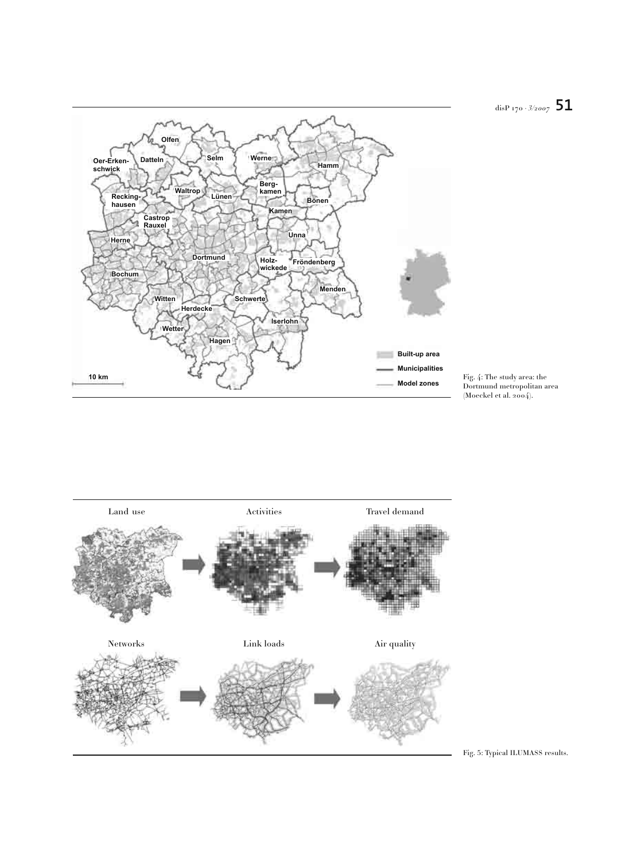

Fig. 4: The study area: the Dortmund metropolitan area (Moeckel et al. 2004).



Fig. 5: Typical ILUMASS results.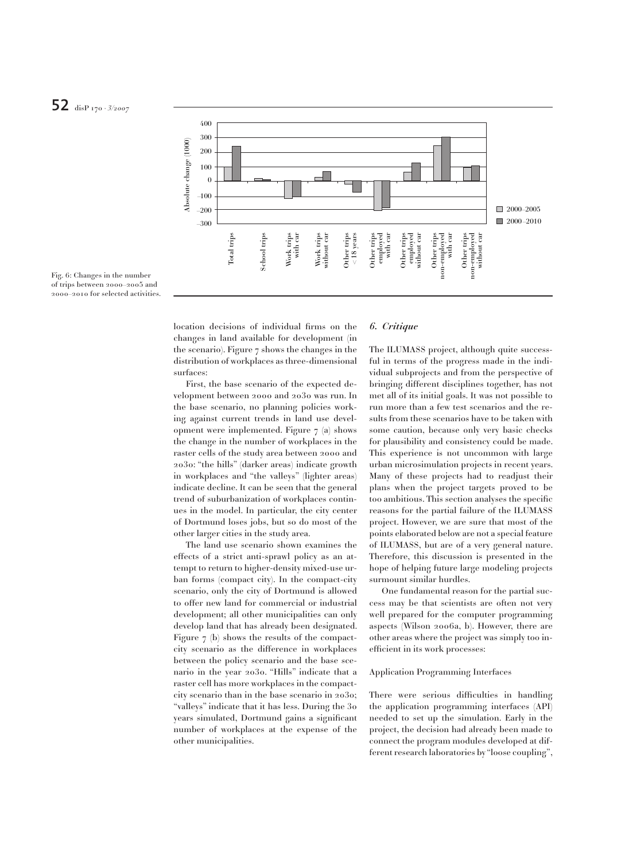

Fig. 6: Changes in the number of trips between 2000–2005 and 2000–2010 for selected activities.

location decisions of individual firms on the changes in land available for development (in the scenario). Figure 7 shows the changes in the distribution of workplaces as three-dimensional surfaces:

First, the base scenario of the expected development between 2000 and 2030 was run. In the base scenario, no planning policies working against current trends in land use development were implemented. Figure 7 (a) shows the change in the number of workplaces in the raster cells of the study area between 2000 and 2030: "the hills" (darker areas) indicate growth in workplaces and "the valleys" (lighter areas) indicate decline. It can be seen that the general trend of suburbanization of workplaces continues in the model. In particular, the city center of Dortmund loses jobs, but so do most of the other larger cities in the study area.

The land use scenario shown examines the effects of a strict anti-sprawl policy as an attempt to return to higher-density mixed-use urban forms (compact city). In the compact-city scenario, only the city of Dortmund is allowed to offer new land for commercial or industrial development; all other municipalities can only develop land that has already been designated. Figure 7 (b) shows the results of the compactcity scenario as the difference in workplaces between the policy scenario and the base scenario in the year 2030. "Hills" indicate that a raster cell has more workplaces in the compactcity scenario than in the base scenario in 2030; "valleys" indicate that it has less. During the 30 years simulated, Dortmund gains a significant number of workplaces at the expense of the other municipalities.

# *6. Critique*

The ILUMASS project, although quite successful in terms of the progress made in the individual subprojects and from the perspective of bringing different disciplines together, has not met all of its initial goals. It was not possible to run more than a few test scenarios and the results from these scenarios have to be taken with some caution, because only very basic checks for plausibility and consistency could be made. This experience is not uncommon with large urban microsimulation projects in recent years. Many of these projects had to readjust their plans when the project targets proved to be too ambitious. This section analyses the specific reasons for the partial failure of the ILUMASS project. However, we are sure that most of the points elaborated below are not a special feature of ILUMASS, but are of a very general nature. Therefore, this discussion is presented in the hope of helping future large modeling projects surmount similar hurdles.

One fundamental reason for the partial success may be that scientists are often not very well prepared for the computer programming aspects (Wilson 2006a, b). However, there are other areas where the project was simply too inefficient in its work processes:

Application Programming Interfaces

There were serious difficulties in handling the application programming interfaces (API) needed to set up the simulation. Early in the project, the decision had already been made to connect the program modules developed at different research laboratories by "loose coupling",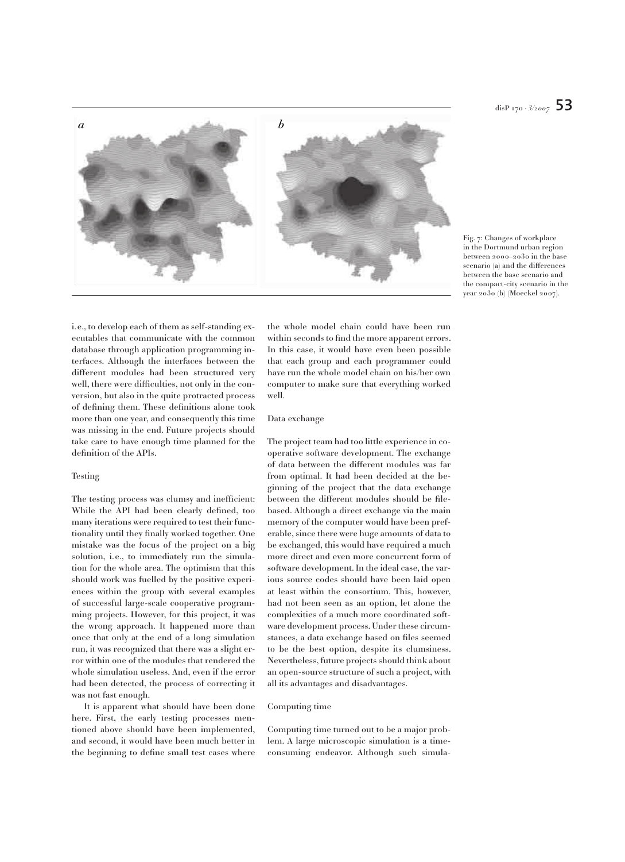

Fig. 7: Changes of workplace in the Dortmund urban region between 2000–2030 in the base scenario (a) and the differences between the base scenario and the compact-city scenario in the year 2030 (b) (Moeckel 2007).

i. e., to develop each of them as self-standing executables that communicate with the common database through application programming interfaces. Although the interfaces between the different modules had been structured very well, there were difficulties, not only in the conversion, but also in the quite protracted process of defining them. These definitions alone took more than one year, and consequently this time was missing in the end. Future projects should take care to have enough time planned for the definition of the APIs.

# Testing

The testing process was clumsy and inefficient: While the API had been clearly defined, too many iterations were required to test their functionality until they finally worked together. One mistake was the focus of the project on a big solution, i.e., to immediately run the simulation for the whole area. The optimism that this should work was fuelled by the positive experiences within the group with several examples of successful large-scale cooperative programming projects. However, for this project, it was the wrong approach. It happened more than once that only at the end of a long simulation run, it was recognized that there was a slight error within one of the modules that rendered the whole simulation useless. And, even if the error had been detected, the process of correcting it was not fast enough.

It is apparent what should have been done here. First, the early testing processes mentioned above should have been implemented, and second, it would have been much better in the beginning to define small test cases where the whole model chain could have been run within seconds to find the more apparent errors. In this case, it would have even been possible that each group and each programmer could have run the whole model chain on his/her own computer to make sure that everything worked well.

#### Data exchange

The project team had too little experience in cooperative software development. The exchange of data between the different modules was far from optimal. It had been decided at the beginning of the project that the data exchange between the different modules should be filebased. Although a direct exchange via the main memory of the computer would have been preferable, since there were huge amounts of data to be exchanged, this would have required a much more direct and even more concurrent form of software development. In the ideal case, the various source codes should have been laid open at least within the consortium. This, however, had not been seen as an option, let alone the complexities of a much more coordinated software development process. Under these circumstances, a data exchange based on files seemed to be the best option, despite its clumsiness. Nevertheless, future projects should think about an open-source structure of such a project, with all its advantages and disadvantages.

# Computing time

Computing time turned out to be a major problem. A large microscopic simulation is a timeconsuming endeavor. Although such simula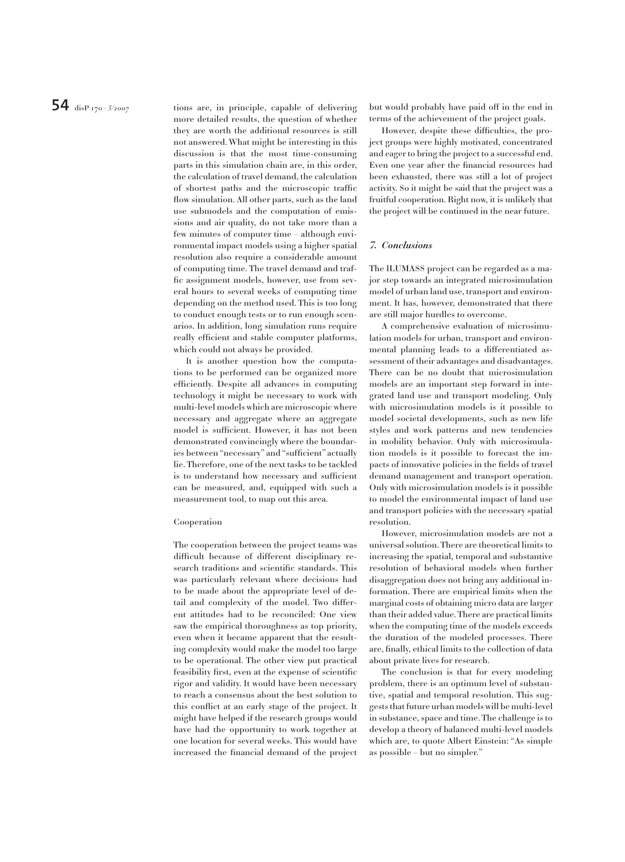**54**disP 170 *· 3/2007* tions are, in principle, capable of delivering more detailed results, the question of whether they are worth the additional resources is still not answered. What might be interesting in this discussion is that the most time-consuming parts in this simulation chain are, in this order, the calculation of travel demand, the calculation of shortest paths and the microscopic traffic flow simulation. All other parts, such as the land use submodels and the computation of emissions and air quality, do not take more than a few minutes of computer time – although environmental impact models using a higher spatial resolution also require a considerable amount of computing time. The travel demand and traffic assignment models, however, use from several hours to several weeks of computing time depending on the method used. This is too long to conduct enough tests or to run enough scenarios. In addition, long simulation runs require really efficient and stable computer platforms, which could not always be provided.

> It is another question how the computations to be performed can be organized more efficiently. Despite all advances in computing technology it might be necessary to work with multi-level models which are microscopic where necessary and aggregate where an aggregate model is sufficient. However, it has not been demonstrated convincingly where the boundaries between "necessary" and "sufficient" actually lie. Therefore, one of the next tasks to be tackled is to understand how necessary and sufficient can be measured, and, equipped with such a measurement tool, to map out this area.

#### Cooperation

The cooperation between the project teams was difficult because of different disciplinary research traditions and scientific standards. This was particularly relevant where decisions had to be made about the appropriate level of detail and complexity of the model. Two different attitudes had to be reconciled: One view saw the empirical thoroughness as top priority, even when it became apparent that the resulting complexity would make the model too large to be operational. The other view put practical feasibility first, even at the expense of scientific rigor and validity. It would have been necessary to reach a consensus about the best solution to this conflict at an early stage of the project. It might have helped if the research groups would have had the opportunity to work together at one location for several weeks. This would have increased the financial demand of the project

but would probably have paid off in the end in terms of the achievement of the project goals.

However, despite these difficulties, the project groups were highly motivated, concentrated and eager to bring the project to a successful end. Even one year after the financial resources had been exhausted, there was still a lot of project activity. So it might be said that the project was a fruitful cooperation. Right now, it is unlikely that the project will be continued in the near future.

# *7. Conclusions*

The ILUMASS project can be regarded as a major step towards an integrated microsimulation model of urban land use, transport and environment. It has, however, demonstrated that there are still major hurdles to overcome.

A comprehensive evaluation of microsimulation models for urban, transport and environmental planning leads to a differentiated assessment of their advantages and disadvantages. There can be no doubt that microsimulation models are an important step forward in integrated land use and transport modeling. Only with microsimulation models is it possible to model societal developments, such as new life styles and work patterns and new tendencies in mobility behavior. Only with microsimulation models is it possible to forecast the impacts of innovative policies in the fields of travel demand management and transport operation. Only with microsimulation models is it possible to model the environmental impact of land use and transport policies with the necessary spatial resolution.

However, microsimulation models are not a universal solution. There are theoretical limits to increasing the spatial, temporal and substantive resolution of behavioral models when further disaggregation does not bring any additional information. There are empirical limits when the marginal costs of obtaining micro data are larger than their added value. There are practical limits when the computing time of the models exceeds the duration of the modeled processes. There are, finally, ethical limits to the collection of data about private lives for research.

The conclusion is that for every modeling problem, there is an optimum level of substantive, spatial and temporal resolution. This suggests that future urban models will be multi-level in substance, space and time. The challenge is to develop a theory of balanced multi-level models which are, to quote Albert Einstein: "As simple as possible – but no simpler."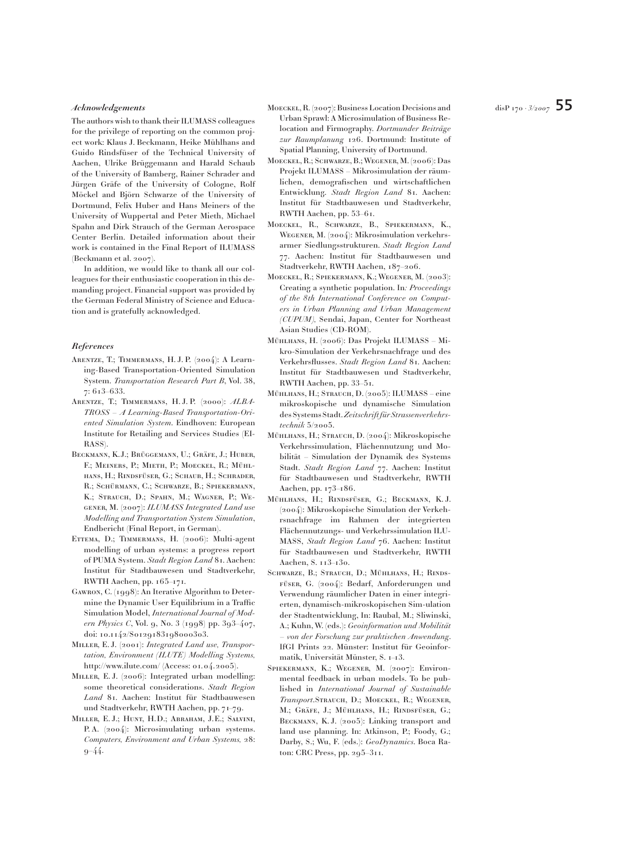The authors wish to thank their ILUMASS colleagues for the privilege of reporting on the common project work: Klaus J. Beckmann, Heike Mühlhans and Guido Rindsfüser of the Technical University of Aachen, Ulrike Brüggemann and Harald Schaub of the University of Bamberg, Rainer Schrader and Jürgen Gräfe of the University of Cologne, Rolf Möckel and Björn Schwarze of the University of Dortmund, Felix Huber and Hans Meiners of the University of Wuppertal and Peter Mieth, Michael Spahn and Dirk Strauch of the German Aerospace Center Berlin. Detailed information about their work is contained in the Final Report of ILUMASS (Beckmann et al. 2007).

In addition, we would like to thank all our colleagues for their enthusiastic cooperation in this demanding project. Financial support was provided by the German Federal Ministry of Science and Education and is gratefully acknowledged.

## *References*

- Arentze, T.; Timmermans, H. J. P. (2004): A Learning-Based Transportation-Oriented Simulation System. *Transportation Research Part B*, Vol. 38, 7: 613–633.
- Arentze, T.; Timmermans, H. J. P. (2000): *ALBA-TROSS – A Learning-Based Transportation-Oriented Simulation System*. Eindhoven: European Institute for Retailing and Services Studies (EI-RASS).
- Beckmann, K. J.; Brüggemann, U.; Gräfe, J.; Huber, F.; Meiners, P.; Mieth, P.; Moeckel, R.; Mühlhans, H.; Rindsfüser, G.; Schaub, H.; Schrader, R.; Schürmann, C.; Schwarze, B.; Spiekermann, K.; STRAUCH, D.; SPAHN, M.; WAGNER, P.; WEgener, M. (2007): *ILUMASS Integrated Land use Modelling and Transportation System Simulation*, Endbericht (Final Report, in German).
- ETTEMA, D.; TIMMERMANS, H. (2006): Multi-agent modelling of urban systems: a progress report of PUMA System. *Stadt Region Land* 81. Aachen: Institut für Stadtbauwesen und Stadtverkehr, RWTH Aachen, pp. 165–171.
- Gawron, C. (1998): An Iterative Algorithm to Determine the Dynamic User Equilibrium in a Traffic Simulation Model, *International Journal of Modern Physics C*, Vol. 9, No. 3 (1998) pp. 393–407, doi: 10.1142/S0129183198000303.
- Miller, E. J. (2001): *Integrated Land use, Transportation, Environment (ILUTE) Modelling Systems,* http://www.ilute.com/ (Access: 01. 04. 2005).
- MILLER, E.J. (2006): Integrated urban modelling: some theoretical considerations. *Stadt Region Land* 81. Aachen: Institut für Stadtbauwesen und Stadtverkehr, RWTH Aachen, pp. 71–79.
- Miller, E. J.; Hunt, H. D.; Abraham, J. E.; Salvini, P. A. (2004): Microsimulating urban systems. *Computers, Environment and Urban Systems,* 28: 9–44.
- *Acknowledgements* disP 170 *· 3/2007* **55** Moeckel, R. (2007): Business Location Decisions and Urban Sprawl: A Microsimulation of Business Relocation and Firmography. *Dortmunder Beiträge* zur Raumplanung 126. Dortmund: Institute of Spatial Planning, University of Dortmund.
	- Moeckel, R.; Schwarze, B.; Wegener, M. (2006): Das Projekt ILUMASS – Mikrosimulation der räumlichen, demografischen und wirtschaftlichen Entwicklung. *Stadt Region Land* 81. Aachen: Institut für Stadtbauwesen und Stadtverkehr, RWTH Aachen, pp. 53–61.
	- Moeckel, R., Schwarze, B., Spiekermann, K., Wegener, M. (2004): Mikrosimulation verkehrsarmer Siedlungsstrukturen. *Stadt Region Land* 77. Aachen: Institut für Stadtbauwesen und Stadtverkehr, RWTH Aachen, 187–206.
	- Moeckel, R.; Spiekermann, K.; Wegener, M. (2003): Creating a synthetic population. In*: Proceedings of the 8th International Conference on Computers in Urban Planning and Urban Management (CUPUM),* Sendai, Japan, Center for Northeast Asian Studies (CD-ROM).
	- Mühlhans, H. (2006): Das Projekt ILUMASS Mikro-Simulation der Verkehrsnachfrage und des Verkehrsfl usses. *Stadt Region Land* 81. Aachen: Institut für Stadtbauwesen und Stadtverkehr, RWTH Aachen, pp. 33–51.
	- Mühlhans, H.; Strauch, D. (2005): ILUMASS eine mikroskopische und dynamische Simulation des Systems Stadt. *Zeitschrift für Strassenverkehrstechnik* 5/2005.
	- Müнlhans, H.; Strauch, D. (2004): Mikroskopische Verkehrssimulation, Flächennutzung und Mobilität – Simulation der Dynamik des Systems Stadt. *Stadt Region Land* 77. Aachen: Institut für Stadtbauwesen und Stadtverkehr, RWTH Aachen, pp. 173–186.
	- Mühlhans, H.; Rindsfüser, G.; Beckmann, K. J. (2004): Mikroskopische Simulation der Verkehrsnachfrage im Rahmen der integrierten Flächennutzungs- und Verkehrssimulation ILU-MASS, *Stadt Region Land* 76. Aachen: Institut für Stadtbauwesen und Stadtverkehr, RWTH Aachen, S. 113–130.
	- SCHWARZE, B.; STRAUCH, D.; MÜHLHANS, H.; RINDSfüser, G. (2004): Bedarf, Anforderungen und Verwendung räumlicher Daten in einer integrierten, dynamisch-mikroskopischen Sim-ulation der Stadtentwicklung, In: Raubal, M.; Sliwinski, A.; Kuhn, W. (eds.): *Geoinformation und Mobilität – von der Forschung zur praktischen Anwendung*. IfGI Prints 22. Münster: Institut für Geoinformatik, Universität Münster, S. 1–13.
	- SPIEKERMANN, K.; WEGENER, M. (2007): Environmental feedback in urban models. To be published in *International Journal of Sustainable Transport*.Strauch, D.; Moeckel, R.; Wegener, M.; Gräfe, J.; Mühlhans, H.; Rindsfüser, G.; BECKMANN, K.J. (2005): Linking transport and land use planning. In: Atkinson, P.; Foody, G.; Darby, S.; Wu, F. (eds.): *GeoDynamics*. Boca Raton: CRC Press, pp. 295–311.